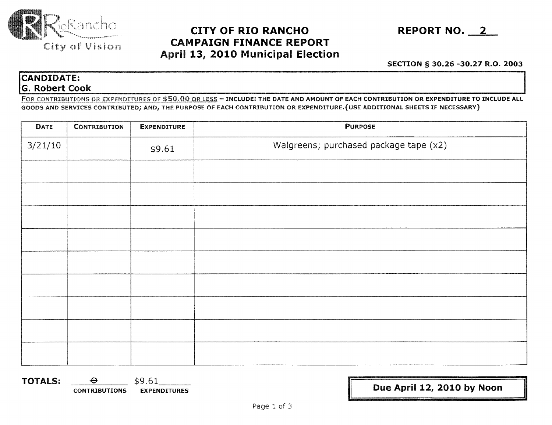

## **CITY OF RIO RANCHO REPORT NO. 2 CAMPAIGN FINANCE REPORT** April **13, 2010** Municipal **Election**

SECTION § 30.26 -30.27 R.O. 2003

**14.44 CONTRIGUES CONTRIGUES CONTRIGUES CONTRIGUES CONTRIGUES CONTRIGUES CONTRIGUES CONTRIBUTION OF ECCH CONTRIBUTION OF EXCH CONTRIBUTION OF EXPENDITURE TO INCLUDE ALL<br>
CONTRIBUTIONS OR EXPENDITURES OF \$50.00 OR LESS - IN** FOR CONTRIBUTIONS OR EXPENDITURES OF \$50.00 OR LESS - INCLUDE: THE DATE AND AMOUNT OF EACH CONTRIBUTION OR EXPENDITURE TO INCLUDE ALL GOODS AND SERVICES CONTRIBUTED; AND, THE PURPOSE OF EACH CONTRIBUTION OR EXPENDITURE.(USE ADDITIONAL SHEETS IF NECESSARY)

| <b>DATE</b> | <b>CONTRIBUTION</b> | <b>EXPENDITURE</b> | <b>PURPOSE</b>                         |
|-------------|---------------------|--------------------|----------------------------------------|
| 3/21/10     |                     | \$9.61             | Walgreens; purchased package tape (x2) |
|             |                     |                    |                                        |
|             |                     |                    |                                        |
|             |                     |                    |                                        |
|             |                     |                    |                                        |
|             |                     |                    |                                        |
|             |                     |                    |                                        |
|             |                     |                    |                                        |
|             |                     |                    |                                        |
|             |                     |                    |                                        |

**TOTALS:**  $\frac{\Theta}{\text{CONTRIBUTION}}$  \$9.61

EXPENDITURES **II** Due April 12, 2010 by Noon

II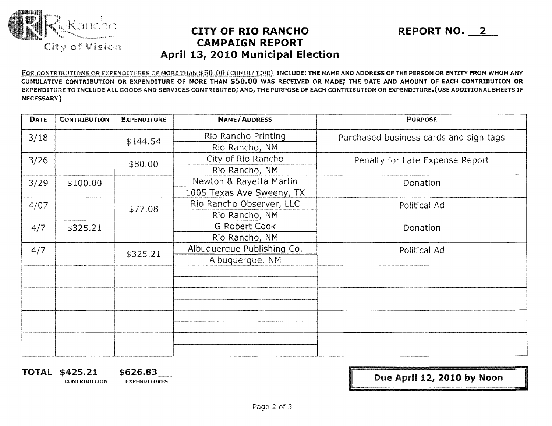

## **CITY OF RIO RANCHO REPORT NO. 2 CAMPAIGN REPORT April 13,** 2010 **Municipal Election**

FOR CONTRIBUTIONS OR EXPENDITURES OF MORE THAN \$50.00 (CUMULATIVE) INCLUDE: THE NAME AND ADDRESS OF THE PERSON OR ENTITY FROM WHOM ANY CUMULATIVE CONTRIBUTION OR EXPENDITURE OF MORE THAN \$50.00 WAS RECEIVED OR MADE; THE DATE AND AMOUNT OF EACH CONTRIBUTION OR EXPENDITURE TO INCLUDE ALL GOODS AND SERVICES CONTRIBUTED; AND, THE PURPOSE OF EACH CONTRIBUTION OR EXPENDITURE.(USE ADDITIONAL SHEETS IF NECESSARY)

| <b>DATE</b> | <b>CONTRIBUTION</b> | <b>EXPENDITURE</b> | <b>NAME/ADDRESS</b>        | <b>PURPOSE</b>                         |  |
|-------------|---------------------|--------------------|----------------------------|----------------------------------------|--|
| 3/18        |                     |                    | Rio Rancho Printing        | Purchased business cards and sign tags |  |
|             |                     | \$144.54           | Rio Rancho, NM             |                                        |  |
| 3/26        |                     | \$80.00            | City of Rio Rancho         | Penalty for Late Expense Report        |  |
|             |                     |                    | Rio Rancho, NM             |                                        |  |
| 3/29        | \$100.00            |                    | Newton & Rayetta Martin    | Donation                               |  |
|             |                     |                    | 1005 Texas Ave Sweeny, TX  |                                        |  |
| 4/07        |                     | \$77.08            | Rio Rancho Observer, LLC   | Political Ad                           |  |
|             |                     |                    | Rio Rancho, NM             |                                        |  |
| 4/7         | \$325.21            |                    | <b>G Robert Cook</b>       | Donation                               |  |
|             |                     |                    | Rio Rancho, NM             |                                        |  |
| 4/7         |                     | \$325.21           | Albuquerque Publishing Co. | Political Ad                           |  |
|             |                     |                    | Albuquerque, NM            |                                        |  |
|             |                     |                    |                            |                                        |  |
|             |                     |                    |                            |                                        |  |
|             |                     |                    |                            |                                        |  |
|             |                     |                    |                            |                                        |  |
|             |                     |                    |                            |                                        |  |
|             |                     |                    |                            |                                        |  |
|             |                     |                    |                            |                                        |  |
|             |                     |                    |                            |                                        |  |

**TOTAL \$425.21\_\_ \$626.83\_<br>
CONTRIBUTION EXPENDITUR EXPENDITURES** 

Due April 12, **2010 by Noon**